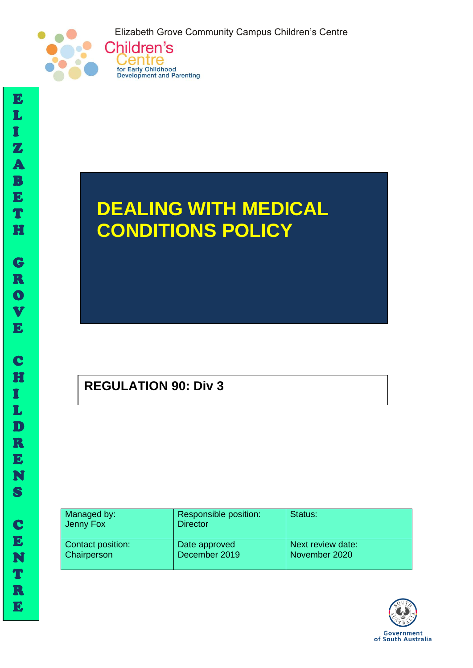Elizabeth Grove Community Campus Children's Centre





# **DEALING WITH MEDICAL CONDITIONS POLICY**

# **REGULATION 90: Div 3**

| Managed by:<br>Jenny Fox | Responsible position:<br><b>Director</b> | Status:           |
|--------------------------|------------------------------------------|-------------------|
| <b>Contact position:</b> | Date approved                            | Next review date: |
| <b>Chairperson</b>       | December 2019                            | November 2020     |



I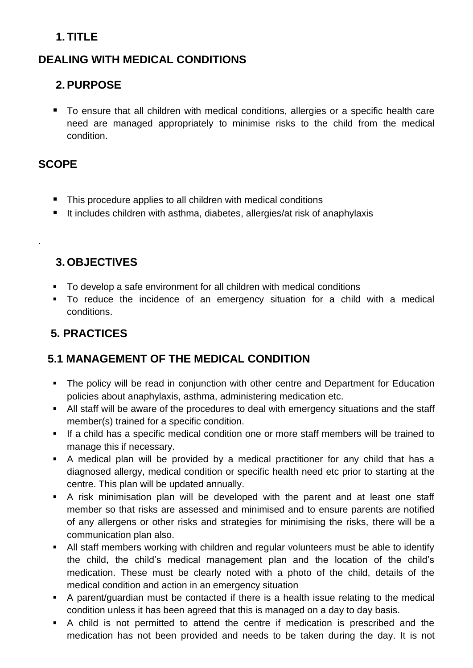## **1. TITLE**

### **DEALING WITH MEDICAL CONDITIONS**

### **2.PURPOSE**

■ To ensure that all children with medical conditions, allergies or a specific health care need are managed appropriately to minimise risks to the child from the medical condition.

#### **SCOPE**

.

- This procedure applies to all children with medical conditions
- It includes children with asthma, diabetes, allergies/at risk of anaphylaxis

#### **3. OBJECTIVES**

- To develop a safe environment for all children with medical conditions
- To reduce the incidence of an emergency situation for a child with a medical conditions.

# **5. PRACTICES**

#### **5.1 MANAGEMENT OF THE MEDICAL CONDITION**

- The policy will be read in conjunction with other centre and Department for Education policies about anaphylaxis, asthma, administering medication etc.
- All staff will be aware of the procedures to deal with emergency situations and the staff member(s) trained for a specific condition.
- If a child has a specific medical condition one or more staff members will be trained to manage this if necessary.
- A medical plan will be provided by a medical practitioner for any child that has a diagnosed allergy, medical condition or specific health need etc prior to starting at the centre. This plan will be updated annually.
- A risk minimisation plan will be developed with the parent and at least one staff member so that risks are assessed and minimised and to ensure parents are notified of any allergens or other risks and strategies for minimising the risks, there will be a communication plan also.
- All staff members working with children and regular volunteers must be able to identify the child, the child's medical management plan and the location of the child's medication. These must be clearly noted with a photo of the child, details of the medical condition and action in an emergency situation
- A parent/guardian must be contacted if there is a health issue relating to the medical condition unless it has been agreed that this is managed on a day to day basis.
- A child is not permitted to attend the centre if medication is prescribed and the medication has not been provided and needs to be taken during the day. It is not